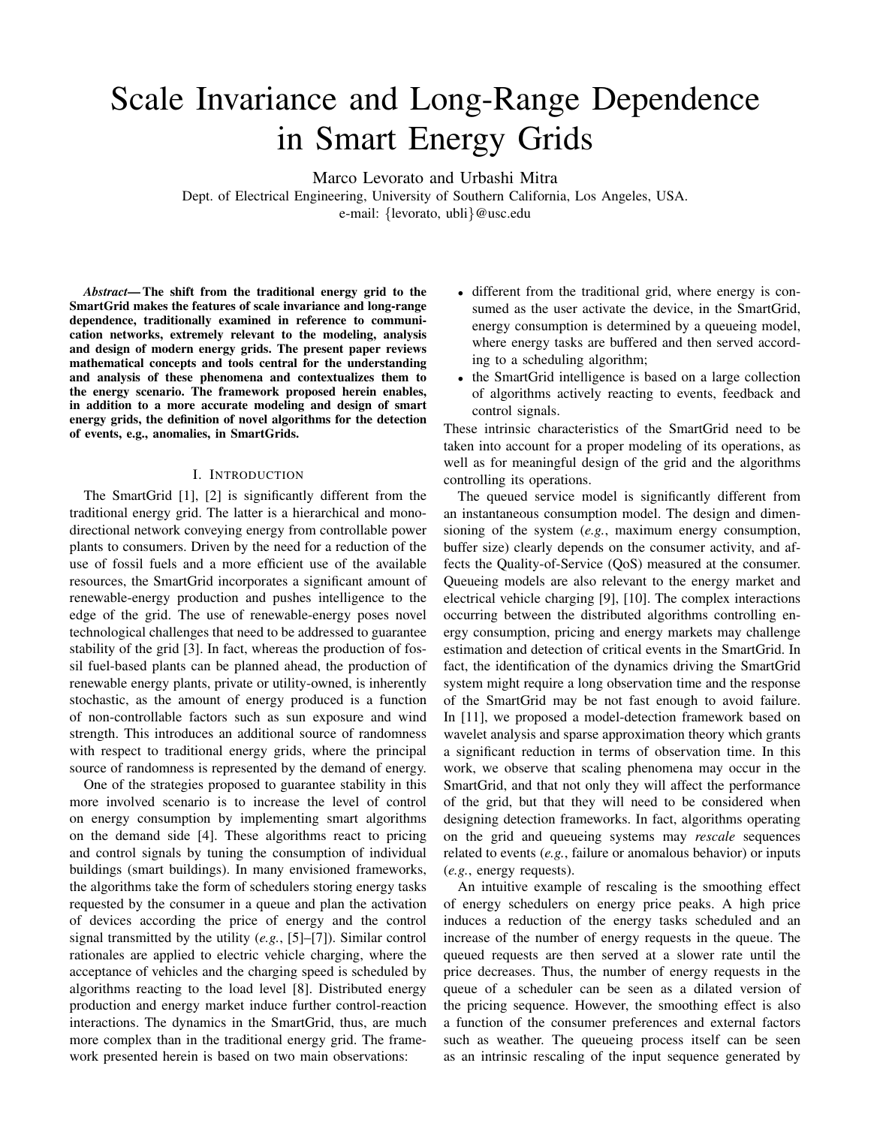# Scale Invariance and Long-Range Dependence in Smart Energy Grids

Marco Levorato and Urbashi Mitra

Dept. of Electrical Engineering, University of Southern California, Los Angeles, USA. e-mail: {levorato, ubli}@usc.edu

*Abstract***— The shift from the traditional energy grid to the SmartGrid makes the features of scale invariance and long-range dependence, traditionally examined in reference to communication networks, extremely relevant to the modeling, analysis and design of modern energy grids. The present paper reviews mathematical concepts and tools central for the understanding and analysis of these phenomena and contextualizes them to the energy scenario. The framework proposed herein enables, in addition to a more accurate modeling and design of smart energy grids, the definition of novel algorithms for the detection of events, e.g., anomalies, in SmartGrids.**

# I. INTRODUCTION

The SmartGrid [1], [2] is significantly different from the traditional energy grid. The latter is a hierarchical and monodirectional network conveying energy from controllable power plants to consumers. Driven by the need for a reduction of the use of fossil fuels and a more efficient use of the available resources, the SmartGrid incorporates a significant amount of renewable-energy production and pushes intelligence to the edge of the grid. The use of renewable-energy poses novel technological challenges that need to be addressed to guarantee stability of the grid [3]. In fact, whereas the production of fossil fuel-based plants can be planned ahead, the production of renewable energy plants, private or utility-owned, is inherently stochastic, as the amount of energy produced is a function of non-controllable factors such as sun exposure and wind strength. This introduces an additional source of randomness with respect to traditional energy grids, where the principal source of randomness is represented by the demand of energy.

One of the strategies proposed to guarantee stability in this more involved scenario is to increase the level of control on energy consumption by implementing smart algorithms on the demand side [4]. These algorithms react to pricing and control signals by tuning the consumption of individual buildings (smart buildings). In many envisioned frameworks, the algorithms take the form of schedulers storing energy tasks requested by the consumer in a queue and plan the activation of devices according the price of energy and the control signal transmitted by the utility (*e.g.*, [5]–[7]). Similar control rationales are applied to electric vehicle charging, where the acceptance of vehicles and the charging speed is scheduled by algorithms reacting to the load level [8]. Distributed energy production and energy market induce further control-reaction interactions. The dynamics in the SmartGrid, thus, are much more complex than in the traditional energy grid. The framework presented herein is based on two main observations:

- different from the traditional grid, where energy is consumed as the user activate the device, in the SmartGrid, energy consumption is determined by a queueing model, where energy tasks are buffered and then served according to a scheduling algorithm;
- the SmartGrid intelligence is based on a large collection of algorithms actively reacting to events, feedback and control signals.

These intrinsic characteristics of the SmartGrid need to be taken into account for a proper modeling of its operations, as well as for meaningful design of the grid and the algorithms controlling its operations.

The queued service model is significantly different from an instantaneous consumption model. The design and dimensioning of the system (*e.g.*, maximum energy consumption, buffer size) clearly depends on the consumer activity, and affects the Quality-of-Service (QoS) measured at the consumer. Queueing models are also relevant to the energy market and electrical vehicle charging [9], [10]. The complex interactions occurring between the distributed algorithms controlling energy consumption, pricing and energy markets may challenge estimation and detection of critical events in the SmartGrid. In fact, the identification of the dynamics driving the SmartGrid system might require a long observation time and the response of the SmartGrid may be not fast enough to avoid failure. In [11], we proposed a model-detection framework based on wavelet analysis and sparse approximation theory which grants a significant reduction in terms of observation time. In this work, we observe that scaling phenomena may occur in the SmartGrid, and that not only they will affect the performance of the grid, but that they will need to be considered when designing detection frameworks. In fact, algorithms operating on the grid and queueing systems may *rescale* sequences related to events (*e.g.*, failure or anomalous behavior) or inputs (*e.g.*, energy requests).

An intuitive example of rescaling is the smoothing effect of energy schedulers on energy price peaks. A high price induces a reduction of the energy tasks scheduled and an increase of the number of energy requests in the queue. The queued requests are then served at a slower rate until the price decreases. Thus, the number of energy requests in the queue of a scheduler can be seen as a dilated version of the pricing sequence. However, the smoothing effect is also a function of the consumer preferences and external factors such as weather. The queueing process itself can be seen as an intrinsic rescaling of the input sequence generated by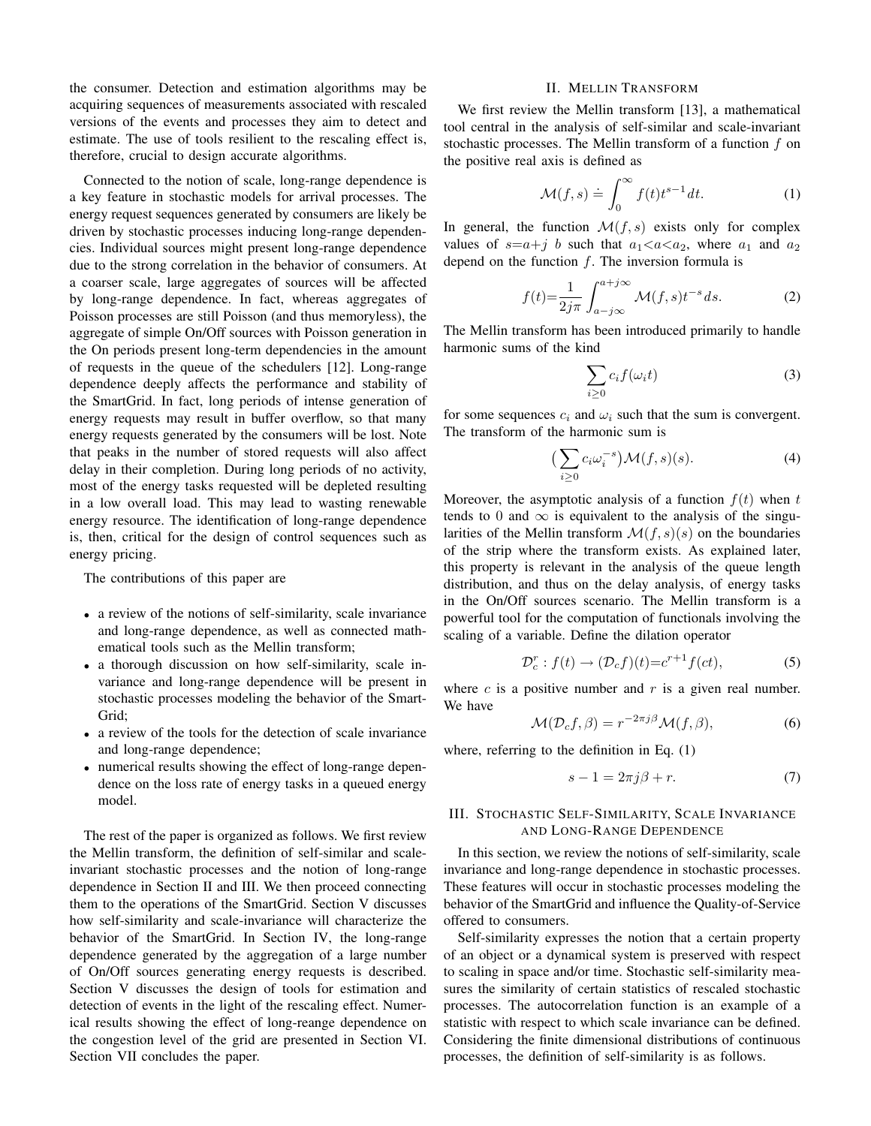the consumer. Detection and estimation algorithms may be acquiring sequences of measurements associated with rescaled versions of the events and processes they aim to detect and estimate. The use of tools resilient to the rescaling effect is, therefore, crucial to design accurate algorithms.

Connected to the notion of scale, long-range dependence is a key feature in stochastic models for arrival processes. The energy request sequences generated by consumers are likely be driven by stochastic processes inducing long-range dependencies. Individual sources might present long-range dependence due to the strong correlation in the behavior of consumers. At a coarser scale, large aggregates of sources will be affected by long-range dependence. In fact, whereas aggregates of Poisson processes are still Poisson (and thus memoryless), the aggregate of simple On/Off sources with Poisson generation in the On periods present long-term dependencies in the amount of requests in the queue of the schedulers [12]. Long-range dependence deeply affects the performance and stability of the SmartGrid. In fact, long periods of intense generation of energy requests may result in buffer overflow, so that many energy requests generated by the consumers will be lost. Note that peaks in the number of stored requests will also affect delay in their completion. During long periods of no activity, most of the energy tasks requested will be depleted resulting in a low overall load. This may lead to wasting renewable energy resource. The identification of long-range dependence is, then, critical for the design of control sequences such as energy pricing.

The contributions of this paper are

- a review of the notions of self-similarity, scale invariance and long-range dependence, as well as connected mathematical tools such as the Mellin transform;
- a thorough discussion on how self-similarity, scale invariance and long-range dependence will be present in stochastic processes modeling the behavior of the Smart-Grid;
- a review of the tools for the detection of scale invariance and long-range dependence;
- numerical results showing the effect of long-range dependence on the loss rate of energy tasks in a queued energy model.

The rest of the paper is organized as follows. We first review the Mellin transform, the definition of self-similar and scaleinvariant stochastic processes and the notion of long-range dependence in Section II and III. We then proceed connecting them to the operations of the SmartGrid. Section V discusses how self-similarity and scale-invariance will characterize the behavior of the SmartGrid. In Section IV, the long-range dependence generated by the aggregation of a large number of On/Off sources generating energy requests is described. Section V discusses the design of tools for estimation and detection of events in the light of the rescaling effect. Numerical results showing the effect of long-reange dependence on the congestion level of the grid are presented in Section VI. Section VII concludes the paper.

# II. MELLIN TRANSFORM

We first review the Mellin transform [13], a mathematical tool central in the analysis of self-similar and scale-invariant stochastic processes. The Mellin transform of a function f on the positive real axis is defined as

$$
\mathcal{M}(f,s) \doteq \int_0^\infty f(t)t^{s-1} dt. \tag{1}
$$

In general, the function  $\mathcal{M}(f, s)$  exists only for complex values of  $s=a+j$  b such that  $a_1 < a < a_2$ , where  $a_1$  and  $a_2$ depend on the function  $f$ . The inversion formula is

$$
f(t) = \frac{1}{2j\pi} \int_{a-j\infty}^{a+j\infty} \mathcal{M}(f,s)t^{-s}ds.
$$
 (2)

The Mellin transform has been introduced primarily to handle harmonic sums of the kind

$$
\sum_{i\geq 0} c_i f(\omega_i t) \tag{3}
$$

for some sequences  $c_i$  and  $\omega_i$  such that the sum is convergent. The transform of the harmonic sum is

$$
\left(\sum_{i\geq 0} c_i \omega_i^{-s}\right) \mathcal{M}(f, s)(s). \tag{4}
$$

Moreover, the asymptotic analysis of a function  $f(t)$  when t tends to 0 and  $\infty$  is equivalent to the analysis of the singularities of the Mellin transform  $\mathcal{M}(f, s)(s)$  on the boundaries of the strip where the transform exists. As explained later, this property is relevant in the analysis of the queue length distribution, and thus on the delay analysis, of energy tasks in the On/Off sources scenario. The Mellin transform is a powerful tool for the computation of functionals involving the scaling of a variable. Define the dilation operator

$$
\mathcal{D}_c^r : f(t) \to (\mathcal{D}_c f)(t) = c^{r+1} f(ct),\tag{5}
$$

where  $c$  is a positive number and  $r$  is a given real number. We have

$$
\mathcal{M}(\mathcal{D}_c f, \beta) = r^{-2\pi j \beta} \mathcal{M}(f, \beta),\tag{6}
$$

where, referring to the definition in Eq. (1)

$$
s - 1 = 2\pi j\beta + r.\tag{7}
$$

# III. STOCHASTIC SELF-SIMILARITY, SCALE INVARIANCE AND LONG-RANGE DEPENDENCE

In this section, we review the notions of self-similarity, scale invariance and long-range dependence in stochastic processes. These features will occur in stochastic processes modeling the behavior of the SmartGrid and influence the Quality-of-Service offered to consumers.

Self-similarity expresses the notion that a certain property of an object or a dynamical system is preserved with respect to scaling in space and/or time. Stochastic self-similarity measures the similarity of certain statistics of rescaled stochastic processes. The autocorrelation function is an example of a statistic with respect to which scale invariance can be defined. Considering the finite dimensional distributions of continuous processes, the definition of self-similarity is as follows.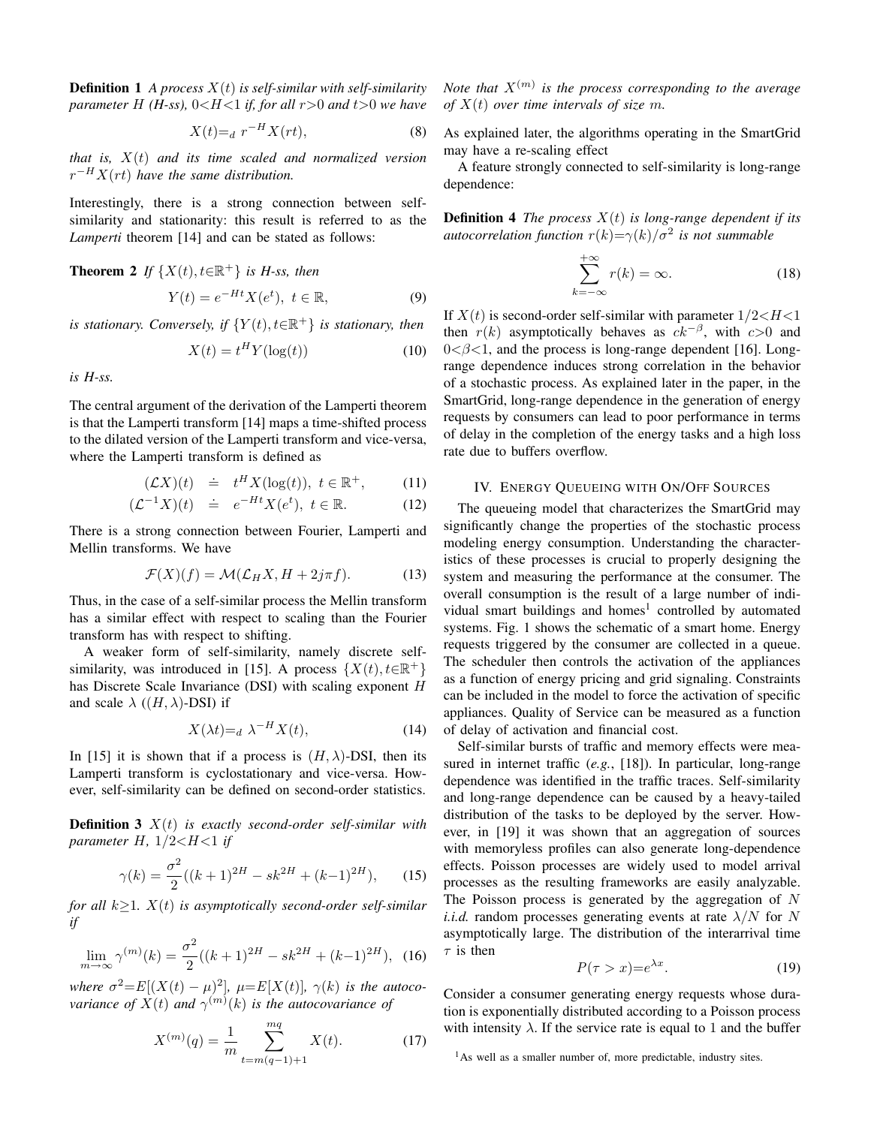**Definition 1** *A process* X(t) *is self-similar with self-similarity parameter*  $H$  (*H-ss*),  $0 < H < 1$  *if, for all*  $r > 0$  *and*  $t > 0$  *we have* 

$$
X(t) =_d r^{-H} X(rt), \tag{8}
$$

*that is,* X(t) *and its time scaled and normalized version* r <sup>−</sup>HX(rt) *have the same distribution.*

Interestingly, there is a strong connection between selfsimilarity and stationarity: this result is referred to as the *Lamperti* theorem [14] and can be stated as follows:

**Theorem 2** *If*  $\{X(t), t \in \mathbb{R}^+\}$  *is H-ss, then*  $Y(t) = e^{-Ht} X(e^t), t \in \mathbb{R},$  (9)

*is stationary. Conversely, if*  ${Y(t), t \in \mathbb{R}^+}$  *is stationary, then* 

$$
X(t) = t^H Y(\log(t))
$$
\n(10)

*is H-ss.*

The central argument of the derivation of the Lamperti theorem is that the Lamperti transform [14] maps a time-shifted process to the dilated version of the Lamperti transform and vice-versa, where the Lamperti transform is defined as

$$
(\mathcal{L}X)(t) \quad \dot{=} \quad t^H X(\log(t)), \ t \in \mathbb{R}^+, \tag{11}
$$

$$
(\mathcal{L}^{-1}X)(t) \quad \dot{=} \quad e^{-Ht}X(e^t), \ t \in \mathbb{R}.\tag{12}
$$

There is a strong connection between Fourier, Lamperti and Mellin transforms. We have

$$
\mathcal{F}(X)(f) = \mathcal{M}(\mathcal{L}_H X, H + 2j\pi f). \tag{13}
$$

Thus, in the case of a self-similar process the Mellin transform has a similar effect with respect to scaling than the Fourier transform has with respect to shifting.

A weaker form of self-similarity, namely discrete selfsimilarity, was introduced in [15]. A process  $\{X(t), t \in \mathbb{R}^+\}$ has Discrete Scale Invariance (DSI) with scaling exponent H and scale  $\lambda$  ( $(H, \lambda)$ -DSI) if

$$
X(\lambda t) =_d \lambda^{-H} X(t), \tag{14}
$$

In [15] it is shown that if a process is  $(H, \lambda)$ -DSI, then its Lamperti transform is cyclostationary and vice-versa. However, self-similarity can be defined on second-order statistics.

**Definition 3** X(t) *is exactly second-order self-similar with parameter*  $H$ ,  $1/2 < H < 1$  *if* 

$$
\gamma(k) = \frac{\sigma^2}{2}((k+1)^{2H} - sk^{2H} + (k-1)^{2H}), \qquad (15)
$$

*for all*  $k \geq 1$ *.*  $X(t)$  *is asymptotically second-order self-similar if*

$$
\lim_{m \to \infty} \gamma^{(m)}(k) = \frac{\sigma^2}{2}((k+1)^{2H} - sk^{2H} + (k-1)^{2H}), \tag{16}
$$

*where*  $\sigma^2 = E[(X(t) - \mu)^2]$ ,  $\mu = E[X(t)]$ ,  $\gamma(k)$  *is the autocovariance of*  $X(t)$  *and*  $\gamma^{(m)}(k)$  *is the autocovariance of* 

$$
X^{(m)}(q) = \frac{1}{m} \sum_{t=m(q-1)+1}^{mq} X(t).
$$
 (17)

Note that  $X^{(m)}$  is the process corresponding to the average *of* X(t) *over time intervals of size* m*.*

As explained later, the algorithms operating in the SmartGrid may have a re-scaling effect

A feature strongly connected to self-similarity is long-range dependence:

**Definition 4** *The process*  $X(t)$  *is long-range dependent if its autocorrelation function*  $r(k)=\gamma(k)/\sigma^2$  *is not summable* 

$$
\sum_{k=-\infty}^{+\infty} r(k) = \infty.
$$
 (18)

If  $X(t)$  is second-order self-similar with parameter  $1/2 < H < 1$ then  $r(k)$  asymptotically behaves as  $ck^{-\beta}$ , with  $c>0$  and  $0 < \beta < 1$ , and the process is long-range dependent [16]. Longrange dependence induces strong correlation in the behavior of a stochastic process. As explained later in the paper, in the SmartGrid, long-range dependence in the generation of energy requests by consumers can lead to poor performance in terms of delay in the completion of the energy tasks and a high loss rate due to buffers overflow.

#### IV. ENERGY QUEUEING WITH ON/OFF SOURCES

The queueing model that characterizes the SmartGrid may significantly change the properties of the stochastic process modeling energy consumption. Understanding the characteristics of these processes is crucial to properly designing the system and measuring the performance at the consumer. The overall consumption is the result of a large number of individual smart buildings and homes<sup>1</sup> controlled by automated systems. Fig. 1 shows the schematic of a smart home. Energy requests triggered by the consumer are collected in a queue. The scheduler then controls the activation of the appliances as a function of energy pricing and grid signaling. Constraints can be included in the model to force the activation of specific appliances. Quality of Service can be measured as a function of delay of activation and financial cost.

Self-similar bursts of traffic and memory effects were measured in internet traffic (*e.g.*, [18]). In particular, long-range dependence was identified in the traffic traces. Self-similarity and long-range dependence can be caused by a heavy-tailed distribution of the tasks to be deployed by the server. However, in [19] it was shown that an aggregation of sources with memoryless profiles can also generate long-dependence effects. Poisson processes are widely used to model arrival processes as the resulting frameworks are easily analyzable. The Poisson process is generated by the aggregation of  $N$ *i.i.d.* random processes generating events at rate  $\lambda/N$  for N asymptotically large. The distribution of the interarrival time  $\tau$  is then

$$
P(\tau > x) = e^{\lambda x}.\tag{19}
$$

Consider a consumer generating energy requests whose duration is exponentially distributed according to a Poisson process with intensity  $\lambda$ . If the service rate is equal to 1 and the buffer

<sup>&</sup>lt;sup>1</sup>As well as a smaller number of, more predictable, industry sites.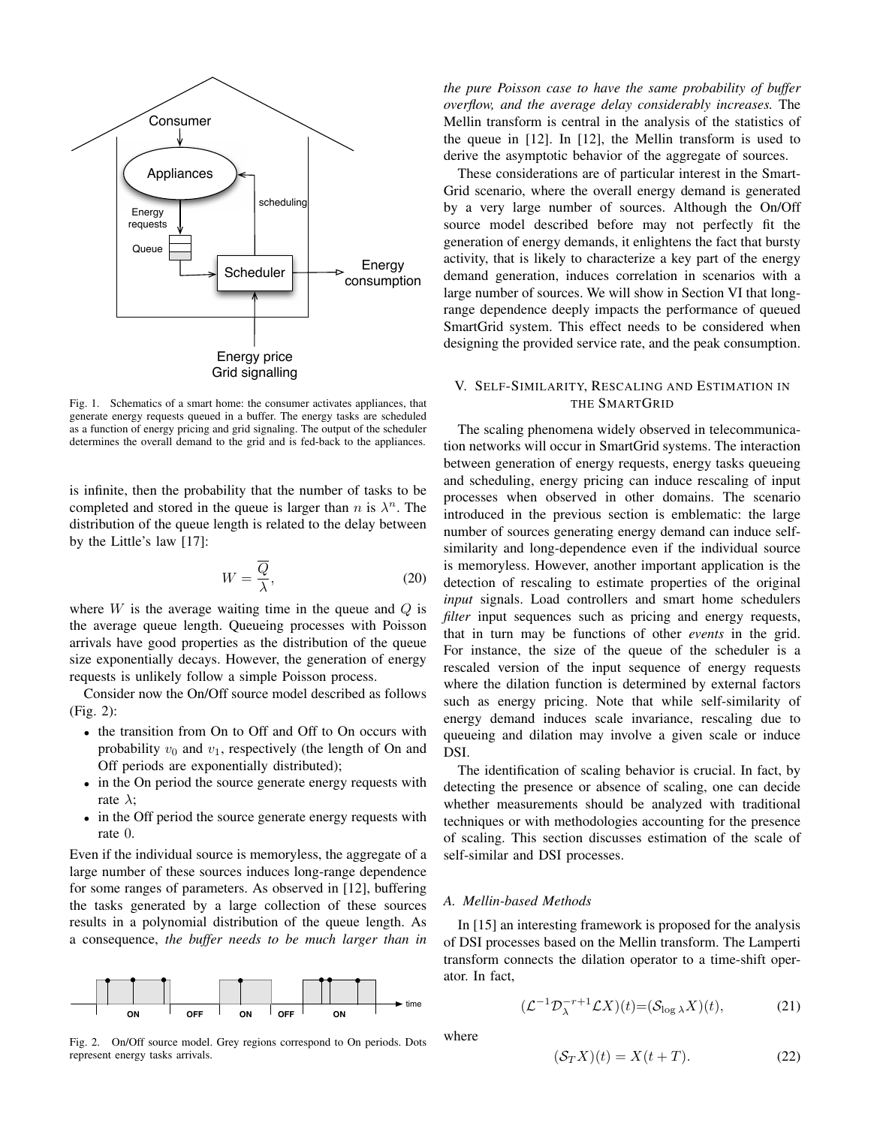

Fig. 1. Schematics of a smart home: the consumer activates appliances, that generate energy requests queued in a buffer. The energy tasks are scheduled as a function of energy pricing and grid signaling. The output of the scheduler determines the overall demand to the grid and is fed-back to the appliances.

is infinite, then the probability that the number of tasks to be completed and stored in the queue is larger than n is  $\lambda^n$ . The distribution of the queue length is related to the delay between by the Little's law [17]:

$$
W = \frac{\overline{Q}}{\lambda},\tag{20}
$$

where  $W$  is the average waiting time in the queue and  $Q$  is the average queue length. Queueing processes with Poisson arrivals have good properties as the distribution of the queue size exponentially decays. However, the generation of energy requests is unlikely follow a simple Poisson process.

Consider now the On/Off source model described as follows (Fig. 2):

- the transition from On to Off and Off to On occurs with probability  $v_0$  and  $v_1$ , respectively (the length of On and Off periods are exponentially distributed);
- in the On period the source generate energy requests with rate  $\lambda$ ;
- in the Off period the source generate energy requests with rate 0.

Even if the individual source is memoryless, the aggregate of a large number of these sources induces long-range dependence for some ranges of parameters. As observed in [12], buffering the tasks generated by a large collection of these sources results in a polynomial distribution of the queue length. As a consequence, *the buffer needs to be much larger than in*



Fig. 2. On/Off source model. Grey regions correspond to On periods. Dots represent energy tasks arrivals.

*the pure Poisson case to have the same probability of buffer overflow, and the average delay considerably increases.* The Mellin transform is central in the analysis of the statistics of the queue in [12]. In [12], the Mellin transform is used to derive the asymptotic behavior of the aggregate of sources.

These considerations are of particular interest in the Smart-Grid scenario, where the overall energy demand is generated by a very large number of sources. Although the On/Off source model described before may not perfectly fit the generation of energy demands, it enlightens the fact that bursty activity, that is likely to characterize a key part of the energy demand generation, induces correlation in scenarios with a large number of sources. We will show in Section VI that longrange dependence deeply impacts the performance of queued SmartGrid system. This effect needs to be considered when designing the provided service rate, and the peak consumption.

# V. SELF-SIMILARITY, RESCALING AND ESTIMATION IN THE SMARTGRID

The scaling phenomena widely observed in telecommunication networks will occur in SmartGrid systems. The interaction between generation of energy requests, energy tasks queueing and scheduling, energy pricing can induce rescaling of input processes when observed in other domains. The scenario introduced in the previous section is emblematic: the large number of sources generating energy demand can induce selfsimilarity and long-dependence even if the individual source is memoryless. However, another important application is the detection of rescaling to estimate properties of the original *input* signals. Load controllers and smart home schedulers *filter* input sequences such as pricing and energy requests, that in turn may be functions of other *events* in the grid. For instance, the size of the queue of the scheduler is a rescaled version of the input sequence of energy requests where the dilation function is determined by external factors such as energy pricing. Note that while self-similarity of energy demand induces scale invariance, rescaling due to queueing and dilation may involve a given scale or induce DSI.

The identification of scaling behavior is crucial. In fact, by detecting the presence or absence of scaling, one can decide whether measurements should be analyzed with traditional techniques or with methodologies accounting for the presence of scaling. This section discusses estimation of the scale of self-similar and DSI processes.

### *A. Mellin-based Methods*

In [15] an interesting framework is proposed for the analysis of DSI processes based on the Mellin transform. The Lamperti transform connects the dilation operator to a time-shift operator. In fact,

$$
(\mathcal{L}^{-1} \mathcal{D}_{\lambda}^{-r+1} \mathcal{L} X)(t) = (\mathcal{S}_{\log \lambda} X)(t), \tag{21}
$$

where

$$
(\mathcal{S}_T X)(t) = X(t+T). \tag{22}
$$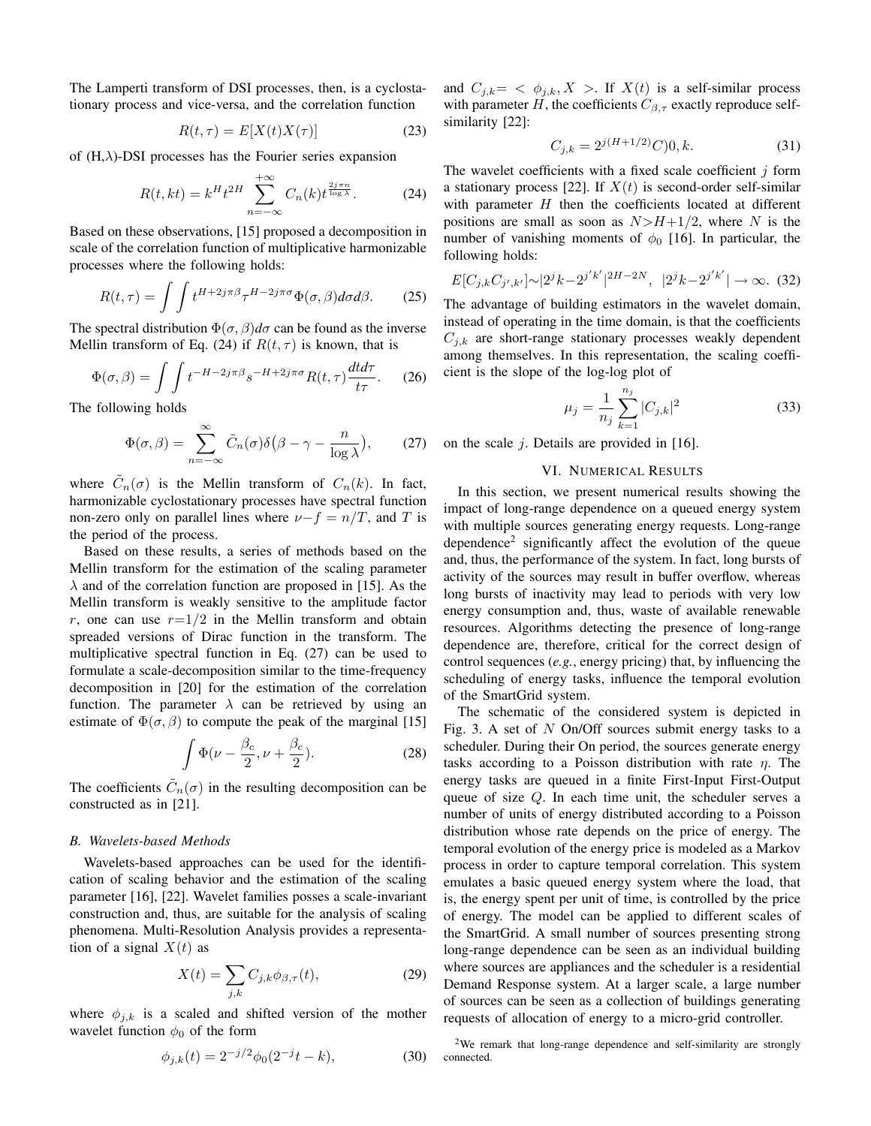The Lamperti transform of DSI processes, then, is a cyclostationary process and vice-versa, and the correlation function

$$
R(t,\tau) = E[X(t)X(\tau)]\tag{23}
$$

of  $(H, \lambda)$ -DSI processes has the Fourier series expansion

$$
R(t,kt) = k^H t^{2H} \sum_{n=-\infty}^{+\infty} C_n(k) t^{\frac{2j\pi n}{\log \lambda}}.
$$
 (24)

Based on these observations, [15] proposed a decomposition in scale of the correlation function of multiplicative harmonizable processes where the following holds:

$$
R(t,\tau) = \int \int t^{H+2j\pi\beta} \tau^{H-2j\pi\sigma} \Phi(\sigma,\beta) d\sigma d\beta.
$$
 (25)

The spectral distribution  $\Phi(\sigma, \beta)d\sigma$  can be found as the inverse Mellin transform of Eq. (24) if  $R(t, \tau)$  is known, that is

$$
\Phi(\sigma,\beta) = \int \int t^{-H-2j\pi\beta} s^{-H+2j\pi\sigma} R(t,\tau) \frac{dt d\tau}{t\tau}.
$$
 (26)

The following holds

$$
\Phi(\sigma,\beta) = \sum_{n=-\infty}^{\infty} \tilde{C}_n(\sigma)\delta(\beta-\gamma-\frac{n}{\log\lambda}),\qquad(27)
$$

where  $\tilde{C}_n(\sigma)$  is the Mellin transform of  $C_n(k)$ . In fact, harmonizable cyclostationary processes have spectral function non-zero only on parallel lines where  $\nu-f = n/T$ , and T is the period of the process.

Based on these results, a series of methods based on the Mellin transform for the estimation of the scaling parameter  $\lambda$  and of the correlation function are proposed in [15]. As the Mellin transform is weakly sensitive to the amplitude factor r, one can use  $r=1/2$  in the Mellin transform and obtain spreaded versions of Dirac function in the transform. The multiplicative spectral function in Eq. (27) can be used to formulate a scale-decomposition similar to the time-frequency decomposition in [20] for the estimation of the correlation function. The parameter  $\lambda$  can be retrieved by using an estimate of  $\Phi(\sigma, \beta)$  to compute the peak of the marginal [15]

$$
\int \Phi(\nu - \frac{\beta_c}{2}, \nu + \frac{\beta_c}{2}).
$$
\n(28)

The coefficients  $\tilde{C}_n(\sigma)$  in the resulting decomposition can be constructed as in [21].

#### *B. Wavelets-based Methods*

Wavelets-based approaches can be used for the identification of scaling behavior and the estimation of the scaling parameter [16], [22]. Wavelet families posses a scale-invariant construction and, thus, are suitable for the analysis of scaling phenomena. Multi-Resolution Analysis provides a representation of a signal  $X(t)$  as

$$
X(t) = \sum_{j,k} C_{j,k} \phi_{\beta,\tau}(t),
$$
\n(29)

where  $\phi_{j,k}$  is a scaled and shifted version of the mother wavelet function  $\phi_0$  of the form

$$
\phi_{j,k}(t) = 2^{-j/2} \phi_0(2^{-j}t - k), \tag{30}
$$

and  $C_{j,k} = \langle \phi_{j,k}, X \rangle$ . If  $X(t)$  is a self-similar process with parameter H, the coefficients  $C_{\beta,\tau}$  exactly reproduce selfsimilarity [22]:

$$
C_{j,k} = 2^{j(H+1/2)}C|0,k.
$$
 (31)

The wavelet coefficients with a fixed scale coefficient  $j$  form a stationary process [22]. If  $X(t)$  is second-order self-similar with parameter  $H$  then the coefficients located at different positions are small as soon as  $N>H+1/2$ , where N is the number of vanishing moments of  $\phi_0$  [16]. In particular, the following holds:

$$
E[C_{j,k}C_{j',k'}] \sim |2^{j}k - 2^{j'k'}|^{2H - 2N}, \ \ |2^{j}k - 2^{j'k'}| \to \infty. \tag{32}
$$

The advantage of building estimators in the wavelet domain, instead of operating in the time domain, is that the coefficients  $C_{j,k}$  are short-range stationary processes weakly dependent among themselves. In this representation, the scaling coefficient is the slope of the log-log plot of

$$
\mu_j = \frac{1}{n_j} \sum_{k=1}^{n_j} |C_{j,k}|^2
$$
\n(33)

on the scale  $j$ . Details are provided in [16].

#### VI. NUMERICAL RESULTS

In this section, we present numerical results showing the impact of long-range dependence on a queued energy system with multiple sources generating energy requests. Long-range dependence<sup>2</sup> significantly affect the evolution of the queue and, thus, the performance of the system. In fact, long bursts of activity of the sources may result in buffer overflow, whereas long bursts of inactivity may lead to periods with very low energy consumption and, thus, waste of available renewable resources. Algorithms detecting the presence of long-range dependence are, therefore, critical for the correct design of control sequences (*e.g.*, energy pricing) that, by influencing the scheduling of energy tasks, influence the temporal evolution of the SmartGrid system.

The schematic of the considered system is depicted in Fig. 3. A set of  $N$  On/Off sources submit energy tasks to a scheduler. During their On period, the sources generate energy tasks according to a Poisson distribution with rate  $\eta$ . The energy tasks are queued in a finite First-Input First-Output queue of size Q. In each time unit, the scheduler serves a number of units of energy distributed according to a Poisson distribution whose rate depends on the price of energy. The temporal evolution of the energy price is modeled as a Markov process in order to capture temporal correlation. This system emulates a basic queued energy system where the load, that is, the energy spent per unit of time, is controlled by the price of energy. The model can be applied to different scales of the SmartGrid. A small number of sources presenting strong long-range dependence can be seen as an individual building where sources are appliances and the scheduler is a residential Demand Response system. At a larger scale, a large number of sources can be seen as a collection of buildings generating requests of allocation of energy to a micro-grid controller.

<sup>2</sup>We remark that long-range dependence and self-similarity are strongly connected.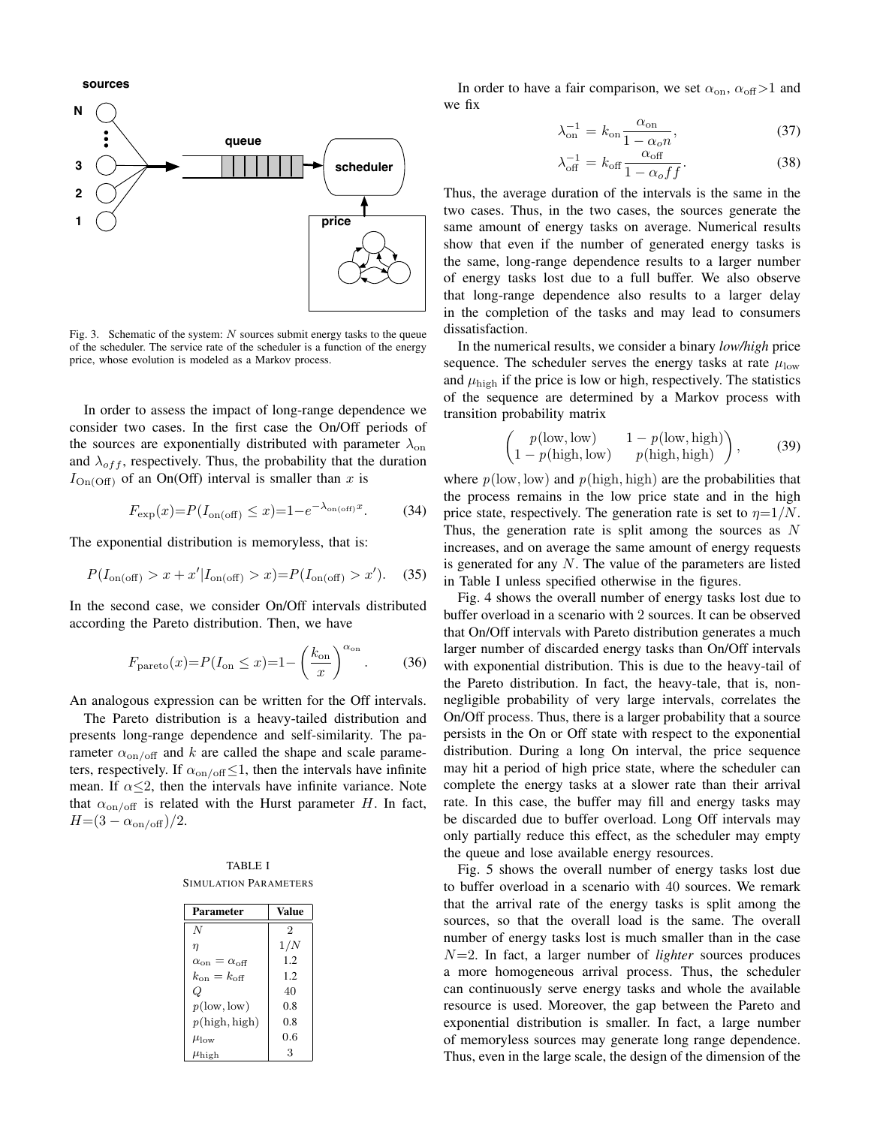**sources**



Fig. 3. Schematic of the system:  $N$  sources submit energy tasks to the queue of the scheduler. The service rate of the scheduler is a function of the energy price, whose evolution is modeled as a Markov process.

In order to assess the impact of long-range dependence we consider two cases. In the first case the On/Off periods of the sources are exponentially distributed with parameter  $\lambda_{on}$ and  $\lambda_{off}$ , respectively. Thus, the probability that the duration  $I_{\text{On}(\text{Off})}$  of an On(Off) interval is smaller than x is

$$
F_{\exp}(x) = P(I_{\text{on(off)}} \le x) = 1 - e^{-\lambda_{\text{on(off)}}x}.\tag{34}
$$

The exponential distribution is memoryless, that is:

$$
P(I_{\text{on}(\text{off})} > x + x'|I_{\text{on}(\text{off})} > x) = P(I_{\text{on}(\text{off})} > x'). \tag{35}
$$

In the second case, we consider On/Off intervals distributed according the Pareto distribution. Then, we have

$$
F_{\text{parto}}(x) = P(I_{\text{on}} \le x) = 1 - \left(\frac{k_{\text{on}}}{x}\right)^{\alpha_{\text{on}}}.
$$
 (36)

An analogous expression can be written for the Off intervals.

The Pareto distribution is a heavy-tailed distribution and presents long-range dependence and self-similarity. The parameter  $\alpha_{\text{on/off}}$  and k are called the shape and scale parameters, respectively. If  $\alpha_{on/off} \leq 1$ , then the intervals have infinite mean. If  $\alpha \leq 2$ , then the intervals have infinite variance. Note that  $\alpha_{\text{on/off}}$  is related with the Hurst parameter H. In fact,  $H=(3-\alpha_{\rm on/off})/2$ .

TABLE I SIMULATION PARAMETERS

| <b>Parameter</b>                     | Value          |
|--------------------------------------|----------------|
| N                                    | $\mathfrak{D}$ |
| $\eta$                               | 1/N            |
| $\alpha_{\rm on} = \alpha_{\rm off}$ | 1.2.           |
| $k_{\text{on}} = k_{\text{off}}$     | 1.2            |
| Ο                                    | 40             |
| $p(\text{low}, \text{low})$          | 0.8            |
| p(high, high)                        | 0.8            |
| $\mu_{\rm low}$                      | 0.6            |
| $\mu_{\rm high}$                     | 3              |

In order to have a fair comparison, we set  $\alpha_{on}$ ,  $\alpha_{off} > 1$  and we fix

$$
\lambda_{\text{on}}^{-1} = k_{\text{on}} \frac{\alpha_{\text{on}}}{1 - \alpha_o n},\tag{37}
$$

$$
\lambda_{\text{off}}^{-1} = k_{\text{off}} \frac{\alpha_{\text{off}}}{1 - \alpha_o f f}.
$$
 (38)

Thus, the average duration of the intervals is the same in the two cases. Thus, in the two cases, the sources generate the same amount of energy tasks on average. Numerical results show that even if the number of generated energy tasks is the same, long-range dependence results to a larger number of energy tasks lost due to a full buffer. We also observe that long-range dependence also results to a larger delay in the completion of the tasks and may lead to consumers dissatisfaction.

In the numerical results, we consider a binary *low/high* price sequence. The scheduler serves the energy tasks at rate  $\mu_{\text{low}}$ and  $\mu_{\text{high}}$  if the price is low or high, respectively. The statistics of the sequence are determined by a Markov process with transition probability matrix

$$
\begin{pmatrix} p(\text{low}, \text{low}) & 1 - p(\text{low}, \text{high}) \\ 1 - p(\text{high}, \text{low}) & p(\text{high}, \text{high}) \end{pmatrix},
$$
 (39)

where  $p$ (low, low) and  $p$ (high, high) are the probabilities that the process remains in the low price state and in the high price state, respectively. The generation rate is set to  $\eta = 1/N$ . Thus, the generation rate is split among the sources as  $N$ increases, and on average the same amount of energy requests is generated for any  $N$ . The value of the parameters are listed in Table I unless specified otherwise in the figures.

Fig. 4 shows the overall number of energy tasks lost due to buffer overload in a scenario with 2 sources. It can be observed that On/Off intervals with Pareto distribution generates a much larger number of discarded energy tasks than On/Off intervals with exponential distribution. This is due to the heavy-tail of the Pareto distribution. In fact, the heavy-tale, that is, nonnegligible probability of very large intervals, correlates the On/Off process. Thus, there is a larger probability that a source persists in the On or Off state with respect to the exponential distribution. During a long On interval, the price sequence may hit a period of high price state, where the scheduler can complete the energy tasks at a slower rate than their arrival rate. In this case, the buffer may fill and energy tasks may be discarded due to buffer overload. Long Off intervals may only partially reduce this effect, as the scheduler may empty the queue and lose available energy resources.

Fig. 5 shows the overall number of energy tasks lost due to buffer overload in a scenario with 40 sources. We remark that the arrival rate of the energy tasks is split among the sources, so that the overall load is the same. The overall number of energy tasks lost is much smaller than in the case N=2. In fact, a larger number of *lighter* sources produces a more homogeneous arrival process. Thus, the scheduler can continuously serve energy tasks and whole the available resource is used. Moreover, the gap between the Pareto and exponential distribution is smaller. In fact, a large number of memoryless sources may generate long range dependence. Thus, even in the large scale, the design of the dimension of the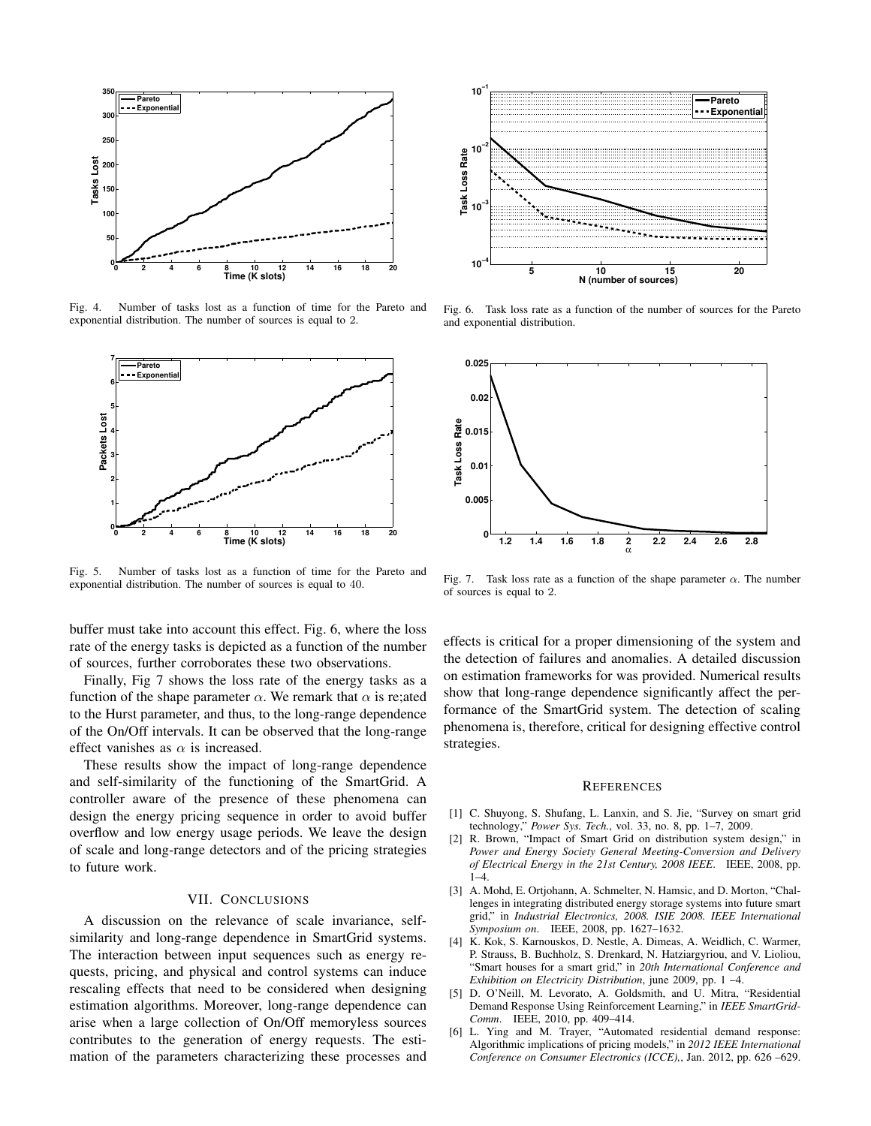

Fig. 4. Number of tasks lost as a function of time for the Pareto and exponential distribution. The number of sources is equal to 2.



Fig. 5. Number of tasks lost as a function of time for the Pareto and exponential distribution. The number of sources is equal to 40.

buffer must take into account this effect. Fig. 6, where the loss rate of the energy tasks is depicted as a function of the number of sources, further corroborates these two observations.

Finally, Fig 7 shows the loss rate of the energy tasks as a function of the shape parameter  $\alpha$ . We remark that  $\alpha$  is re;ated to the Hurst parameter, and thus, to the long-range dependence of the On/Off intervals. It can be observed that the long-range effect vanishes as  $\alpha$  is increased.

These results show the impact of long-range dependence and self-similarity of the functioning of the SmartGrid. A controller aware of the presence of these phenomena can design the energy pricing sequence in order to avoid buffer overflow and low energy usage periods. We leave the design of scale and long-range detectors and of the pricing strategies to future work.

# VII. CONCLUSIONS

A discussion on the relevance of scale invariance, selfsimilarity and long-range dependence in SmartGrid systems. The interaction between input sequences such as energy requests, pricing, and physical and control systems can induce rescaling effects that need to be considered when designing estimation algorithms. Moreover, long-range dependence can arise when a large collection of On/Off memoryless sources contributes to the generation of energy requests. The estimation of the parameters characterizing these processes and



Fig. 6. Task loss rate as a function of the number of sources for the Pareto and exponential distribution.



Fig. 7. Task loss rate as a function of the shape parameter  $\alpha$ . The number of sources is equal to 2.

effects is critical for a proper dimensioning of the system and the detection of failures and anomalies. A detailed discussion on estimation frameworks for was provided. Numerical results show that long-range dependence significantly affect the performance of the SmartGrid system. The detection of scaling phenomena is, therefore, critical for designing effective control strategies.

#### **REFERENCES**

- [1] C. Shuyong, S. Shufang, L. Lanxin, and S. Jie, "Survey on smart grid technology," *Power Sys. Tech.*, vol. 33, no. 8, pp. 1–7, 2009.
- [2] R. Brown, "Impact of Smart Grid on distribution system design," in *Power and Energy Society General Meeting-Conversion and Delivery of Electrical Energy in the 21st Century, 2008 IEEE*. IEEE, 2008, pp. 1–4.
- [3] A. Mohd, E. Ortjohann, A. Schmelter, N. Hamsic, and D. Morton, "Challenges in integrating distributed energy storage systems into future smart grid," in *Industrial Electronics, 2008. ISIE 2008. IEEE International Symposium on*. IEEE, 2008, pp. 1627–1632.
- [4] K. Kok, S. Karnouskos, D. Nestle, A. Dimeas, A. Weidlich, C. Warmer, P. Strauss, B. Buchholz, S. Drenkard, N. Hatziargyriou, and V. Lioliou, "Smart houses for a smart grid," in *20th International Conference and Exhibition on Electricity Distribution*, june 2009, pp. 1 –4.
- [5] D. O'Neill, M. Levorato, A. Goldsmith, and U. Mitra, "Residential Demand Response Using Reinforcement Learning," in *IEEE SmartGrid-Comm*. IEEE, 2010, pp. 409–414.
- [6] L. Ying and M. Trayer, "Automated residential demand response: Algorithmic implications of pricing models," in *2012 IEEE International Conference on Consumer Electronics (ICCE),*, Jan. 2012, pp. 626 –629.